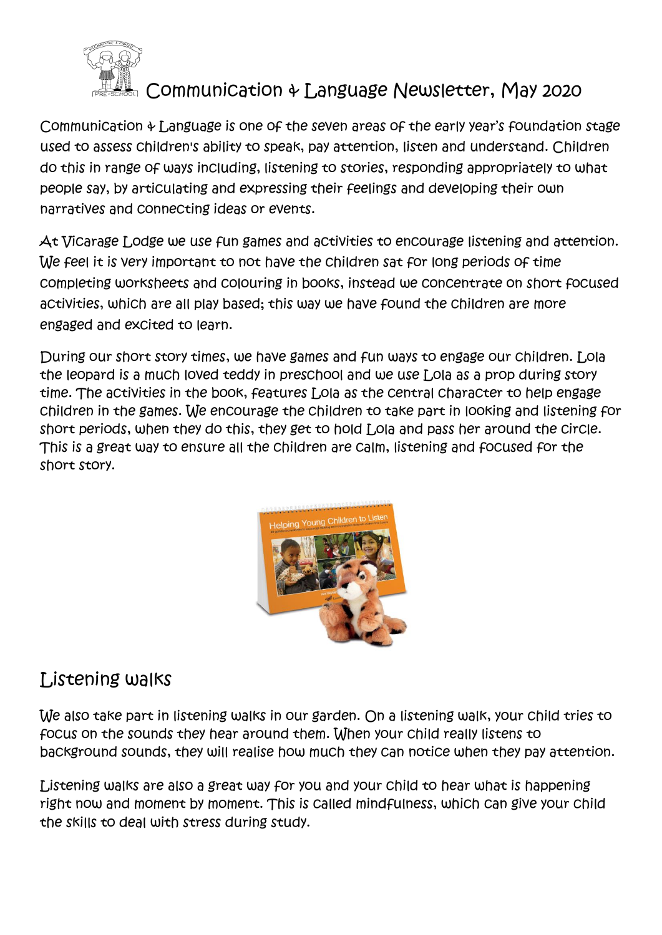

## Communication & Language Newsletter, May 2020

Communication & Language is one of the seven areas of the early year's foundation stage used to assess children's ability to speak, pay attention, listen and understand. Children do this in range of ways including, listening to stories, responding appropriately to what people say, by articulating and expressing their feelings and developing their own narratives and connecting ideas or events.

At Vicarage Lodge we use fun games and activities to encourage listening and attention. We feel it is very important to not have the children sat for long periods of time completing worksheets and colouring in books, instead we concentrate on short focused activities, which are all play based; this way we have found the children are more engaged and excited to learn.

During our short story times, we have games and fun ways to engage our children. Lola the leopard is a much loved teddy in preschool and we use Lola as a prop during story time. The activities in the book, features Lola as the central character to help engage children in the games. We encourage the children to take part in looking and listening for short periods, when they do this, they get to hold Lola and pass her around the circle. This is a great way to ensure all the children are calm, listening and focused for the short story.



## Listening walks

We also take part in listening walks in our garden. On a listening walk, your child tries to focus on the sounds they hear around them. When your child really listens to background sounds, they will realise how much they can notice when they pay attention.

Listening walks are also a great way for you and your child to hear what is happening right now and moment by moment. This is called mindfulness, which can give your child the skills to deal with stress during study.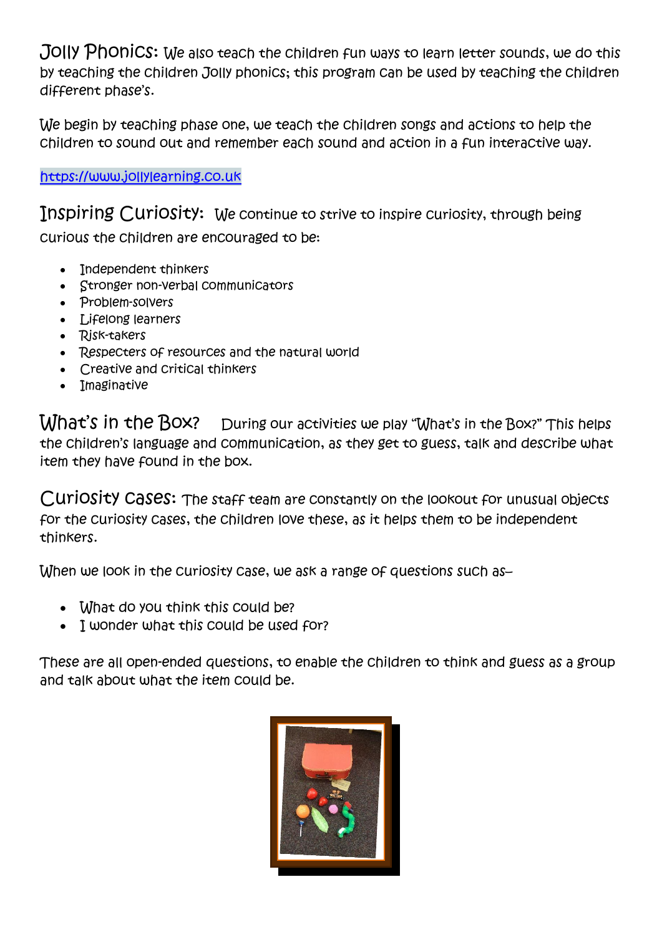Jolly Phonics: We also teach the children fun ways to learn letter sounds, we do this by teaching the children Jolly phonics; this program can be used by teaching the children different phase's.

We begin by teaching phase one, we teach the children songs and actions to help the children to sound out and remember each sound and action in a fun interactive way.

[https://www.jollylearning.co.uk](https://www.jollylearning.co.uk/)

Inspiring Curiosity: We continue to strive to inspire curiosity, through being curious the children are encouraged to be:

- Independent thinkers
- Stronger non-verbal communicators
- Problem-solvers
- Lifelong learners
- Risk-takers
- Respecters of resources and the natural world
- Creative and critical thinkers
- Imaginative

What's in the Box? During our activities we play "What's in the Box?" This helps the children's language and communication, as they get to guess, talk and describe what item they have found in the box.

Curiosity cases: The staff team are constantly on the lookout for unusual objects for the curiosity cases, the children love these, as it helps them to be independent thinkers.

When we look in the curiosity case, we ask a range of questions such as-

- What do you think this could be?
- I wonder what this could be used for?

These are all open-ended questions, to enable the children to think and guess as a group and talk about what the item could be.